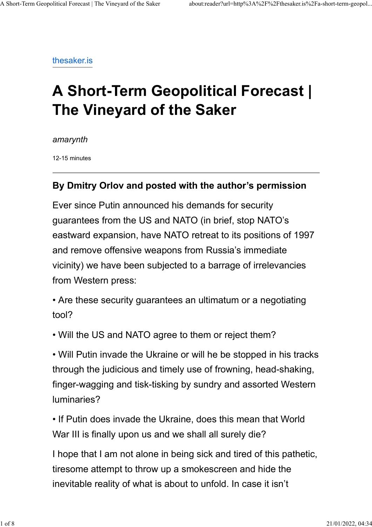thesaker.is

## A Short-Term Geopolitical Forecast | The Vineyard of the Saker

amarynth

12-15 minutes

## By Dmitry Orlov and posted with the author's permission

Ever since Putin announced his demands for security guarantees from the US and NATO (in brief, stop NATO's eastward expansion, have NATO retreat to its positions of 1997 and remove offensive weapons from Russia's immediate vicinity) we have been subjected to a barrage of irrelevancies from Western press:

• Are these security guarantees an ultimatum or a negotiating tool?

• Will the US and NATO agree to them or reject them?

• Will Putin invade the Ukraine or will he be stopped in his tracks through the judicious and timely use of frowning, head-shaking, finger-wagging and tisk-tisking by sundry and assorted Western luminaries?

• If Putin does invade the Ukraine, does this mean that World War III is finally upon us and we shall all surely die?

I hope that I am not alone in being sick and tired of this pathetic, tiresome attempt to throw up a smokescreen and hide the inevitable reality of what is about to unfold. In case it isn't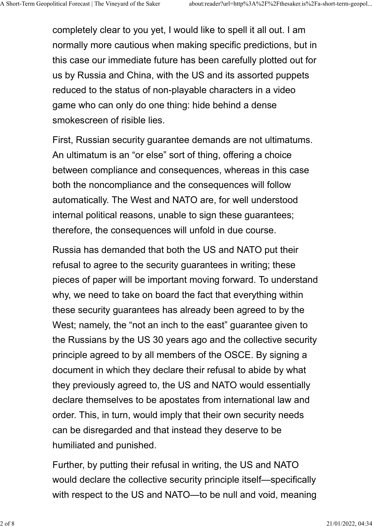completely clear to you yet, I would like to spell it all out. I am normally more cautious when making specific predictions, but in this case our immediate future has been carefully plotted out for us by Russia and China, with the US and its assorted puppets reduced to the status of non-playable characters in a video game who can only do one thing: hide behind a dense smokescreen of risible lies.

First, Russian security guarantee demands are not ultimatums. An ultimatum is an "or else" sort of thing, offering a choice between compliance and consequences, whereas in this case both the noncompliance and the consequences will follow automatically. The West and NATO are, for well understood internal political reasons, unable to sign these guarantees; therefore, the consequences will unfold in due course.

Russia has demanded that both the US and NATO put their refusal to agree to the security guarantees in writing; these pieces of paper will be important moving forward. To understand why, we need to take on board the fact that everything within these security guarantees has already been agreed to by the West; namely, the "not an inch to the east" guarantee given to the Russians by the US 30 years ago and the collective security principle agreed to by all members of the OSCE. By signing a document in which they declare their refusal to abide by what they previously agreed to, the US and NATO would essentially declare themselves to be apostates from international law and order. This, in turn, would imply that their own security needs can be disregarded and that instead they deserve to be humiliated and punished.

Further, by putting their refusal in writing, the US and NATO would declare the collective security principle itself—specifically with respect to the US and NATO—to be null and void, meaning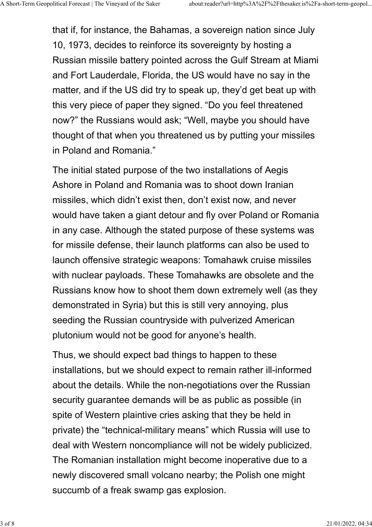that if, for instance, the Bahamas, a sovereign nation since July 10, 1973, decides to reinforce its sovereignty by hosting a Russian missile battery pointed across the Gulf Stream at Miami and Fort Lauderdale, Florida, the US would have no say in the matter, and if the US did try to speak up, they'd get beat up with this very piece of paper they signed. "Do you feel threatened now?" the Russians would ask; "Well, maybe you should have thought of that when you threatened us by putting your missiles in Poland and Romania."

The initial stated purpose of the two installations of Aegis Ashore in Poland and Romania was to shoot down Iranian missiles, which didn't exist then, don't exist now, and never would have taken a giant detour and fly over Poland or Romania in any case. Although the stated purpose of these systems was for missile defense, their launch platforms can also be used to launch offensive strategic weapons: Tomahawk cruise missiles with nuclear payloads. These Tomahawks are obsolete and the Russians know how to shoot them down extremely well (as they demonstrated in Syria) but this is still very annoying, plus seeding the Russian countryside with pulverized American plutonium would not be good for anyone's health.

Thus, we should expect bad things to happen to these installations, but we should expect to remain rather ill-informed about the details. While the non-negotiations over the Russian security guarantee demands will be as public as possible (in spite of Western plaintive cries asking that they be held in private) the "technical-military means" which Russia will use to deal with Western noncompliance will not be widely publicized. The Romanian installation might become inoperative due to a newly discovered small volcano nearby; the Polish one might succumb of a freak swamp gas explosion.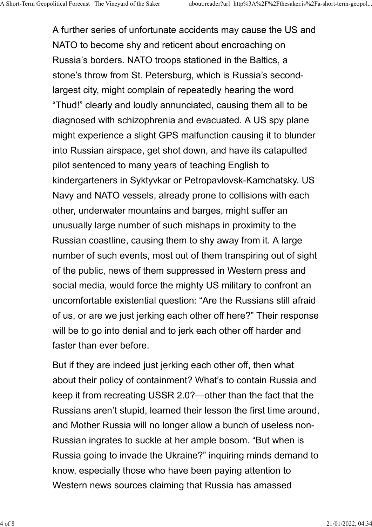A further series of unfortunate accidents may cause the US and NATO to become shy and reticent about encroaching on Russia's borders. NATO troops stationed in the Baltics, a stone's throw from St. Petersburg, which is Russia's secondlargest city, might complain of repeatedly hearing the word "Thud!" clearly and loudly annunciated, causing them all to be diagnosed with schizophrenia and evacuated. A US spy plane might experience a slight GPS malfunction causing it to blunder into Russian airspace, get shot down, and have its catapulted pilot sentenced to many years of teaching English to kindergarteners in Syktyvkar or Petropavlovsk-Kamchatsky. US Navy and NATO vessels, already prone to collisions with each other, underwater mountains and barges, might suffer an unusually large number of such mishaps in proximity to the Russian coastline, causing them to shy away from it. A large number of such events, most out of them transpiring out of sight of the public, news of them suppressed in Western press and social media, would force the mighty US military to confront an uncomfortable existential question: "Are the Russians still afraid of us, or are we just jerking each other off here?" Their response will be to go into denial and to jerk each other off harder and faster than ever before.

But if they are indeed just jerking each other off, then what about their policy of containment? What's to contain Russia and keep it from recreating USSR 2.0?—other than the fact that the Russians aren't stupid, learned their lesson the first time around, and Mother Russia will no longer allow a bunch of useless non-Russian ingrates to suckle at her ample bosom. "But when is Russia going to invade the Ukraine?" inquiring minds demand to know, especially those who have been paying attention to Western news sources claiming that Russia has amassed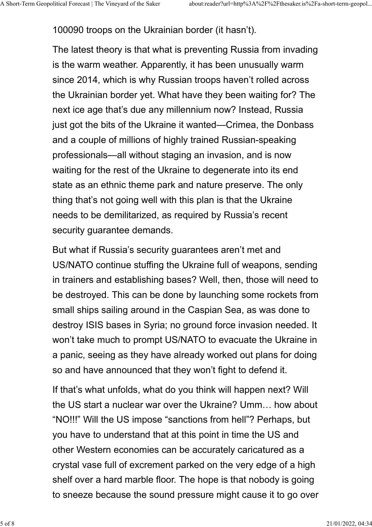100090 troops on the Ukrainian border (it hasn't).

The latest theory is that what is preventing Russia from invading is the warm weather. Apparently, it has been unusually warm since 2014, which is why Russian troops haven't rolled across the Ukrainian border yet. What have they been waiting for? The next ice age that's due any millennium now? Instead, Russia just got the bits of the Ukraine it wanted—Crimea, the Donbass and a couple of millions of highly trained Russian-speaking professionals—all without staging an invasion, and is now waiting for the rest of the Ukraine to degenerate into its end state as an ethnic theme park and nature preserve. The only thing that's not going well with this plan is that the Ukraine needs to be demilitarized, as required by Russia's recent security guarantee demands.

But what if Russia's security guarantees aren't met and US/NATO continue stuffing the Ukraine full of weapons, sending in trainers and establishing bases? Well, then, those will need to be destroyed. This can be done by launching some rockets from small ships sailing around in the Caspian Sea, as was done to destroy ISIS bases in Syria; no ground force invasion needed. It won't take much to prompt US/NATO to evacuate the Ukraine in a panic, seeing as they have already worked out plans for doing so and have announced that they won't fight to defend it.

If that's what unfolds, what do you think will happen next? Will the US start a nuclear war over the Ukraine? Umm… how about "NO!!!" Will the US impose "sanctions from hell"? Perhaps, but you have to understand that at this point in time the US and other Western economies can be accurately caricatured as a crystal vase full of excrement parked on the very edge of a high shelf over a hard marble floor. The hope is that nobody is going to sneeze because the sound pressure might cause it to go over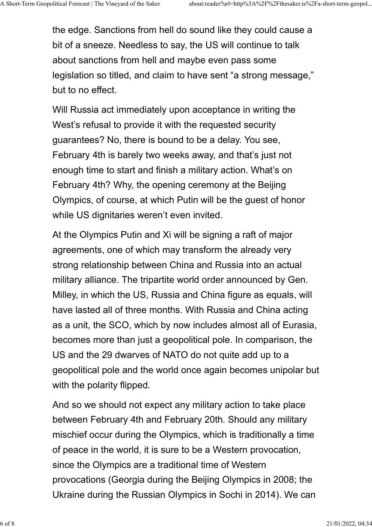the edge. Sanctions from hell do sound like they could cause a bit of a sneeze. Needless to say, the US will continue to talk about sanctions from hell and maybe even pass some legislation so titled, and claim to have sent "a strong message," but to no effect.

Will Russia act immediately upon acceptance in writing the West's refusal to provide it with the requested security guarantees? No, there is bound to be a delay. You see, February 4th is barely two weeks away, and that's just not enough time to start and finish a military action. What's on February 4th? Why, the opening ceremony at the Beijing Olympics, of course, at which Putin will be the guest of honor while US dignitaries weren't even invited.

At the Olympics Putin and Xi will be signing a raft of major agreements, one of which may transform the already very strong relationship between China and Russia into an actual military alliance. The tripartite world order announced by Gen. Milley, in which the US, Russia and China figure as equals, will have lasted all of three months. With Russia and China acting as a unit, the SCO, which by now includes almost all of Eurasia, becomes more than just a geopolitical pole. In comparison, the US and the 29 dwarves of NATO do not quite add up to a geopolitical pole and the world once again becomes unipolar but with the polarity flipped.

And so we should not expect any military action to take place between February 4th and February 20th. Should any military mischief occur during the Olympics, which is traditionally a time of peace in the world, it is sure to be a Western provocation, since the Olympics are a traditional time of Western provocations (Georgia during the Beijing Olympics in 2008; the Ukraine during the Russian Olympics in Sochi in 2014). We can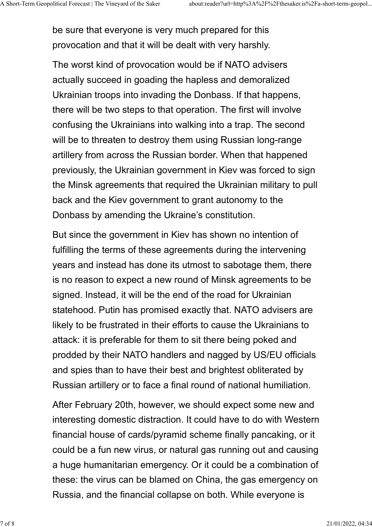be sure that everyone is very much prepared for this provocation and that it will be dealt with very harshly.

The worst kind of provocation would be if NATO advisers actually succeed in goading the hapless and demoralized Ukrainian troops into invading the Donbass. If that happens, there will be two steps to that operation. The first will involve confusing the Ukrainians into walking into a trap. The second will be to threaten to destroy them using Russian long-range artillery from across the Russian border. When that happened previously, the Ukrainian government in Kiev was forced to sign the Minsk agreements that required the Ukrainian military to pull back and the Kiev government to grant autonomy to the Donbass by amending the Ukraine's constitution.

But since the government in Kiev has shown no intention of fulfilling the terms of these agreements during the intervening years and instead has done its utmost to sabotage them, there is no reason to expect a new round of Minsk agreements to be signed. Instead, it will be the end of the road for Ukrainian statehood. Putin has promised exactly that. NATO advisers are likely to be frustrated in their efforts to cause the Ukrainians to attack: it is preferable for them to sit there being poked and prodded by their NATO handlers and nagged by US/EU officials and spies than to have their best and brightest obliterated by Russian artillery or to face a final round of national humiliation.

After February 20th, however, we should expect some new and interesting domestic distraction. It could have to do with Western financial house of cards/pyramid scheme finally pancaking, or it could be a fun new virus, or natural gas running out and causing a huge humanitarian emergency. Or it could be a combination of these: the virus can be blamed on China, the gas emergency on Russia, and the financial collapse on both. While everyone is